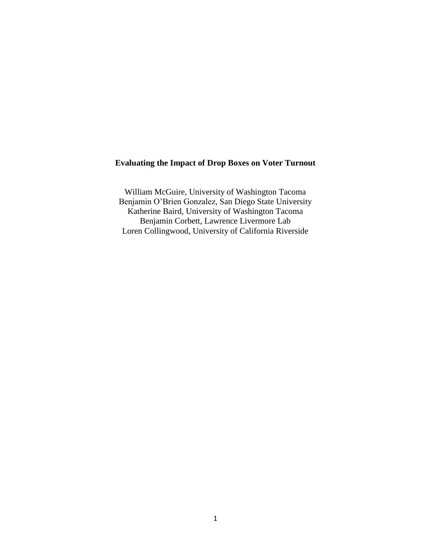# **Evaluating the Impact of Drop Boxes on Voter Turnout**

William McGuire, University of Washington Tacoma Benjamin O'Brien Gonzalez, San Diego State University Katherine Baird, University of Washington Tacoma Benjamin Corbett, Lawrence Livermore Lab Loren Collingwood, University of California Riverside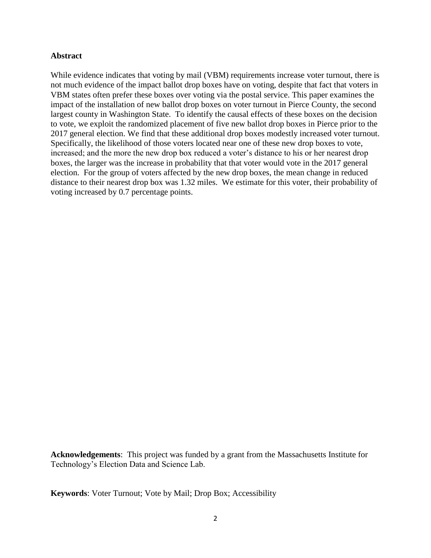# **Abstract**

While evidence indicates that voting by mail (VBM) requirements increase voter turnout, there is not much evidence of the impact ballot drop boxes have on voting, despite that fact that voters in VBM states often prefer these boxes over voting via the postal service. This paper examines the impact of the installation of new ballot drop boxes on voter turnout in Pierce County, the second largest county in Washington State. To identify the causal effects of these boxes on the decision to vote, we exploit the randomized placement of five new ballot drop boxes in Pierce prior to the 2017 general election. We find that these additional drop boxes modestly increased voter turnout. Specifically, the likelihood of those voters located near one of these new drop boxes to vote, increased; and the more the new drop box reduced a voter's distance to his or her nearest drop boxes, the larger was the increase in probability that that voter would vote in the 2017 general election. For the group of voters affected by the new drop boxes, the mean change in reduced distance to their nearest drop box was 1.32 miles. We estimate for this voter, their probability of voting increased by 0.7 percentage points.

**Acknowledgements**: This project was funded by a grant from the Massachusetts Institute for Technology's Election Data and Science Lab.

**Keywords**: Voter Turnout; Vote by Mail; Drop Box; Accessibility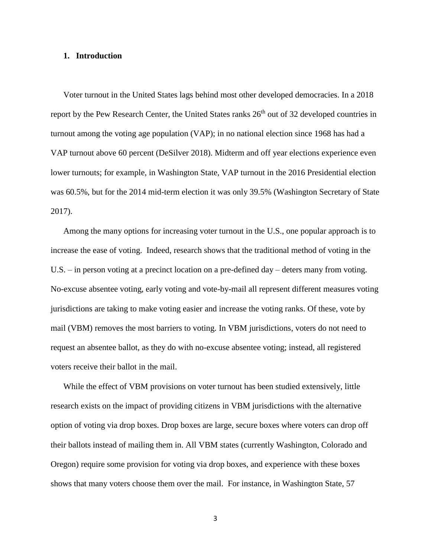#### **1. Introduction**

Voter turnout in the United States lags behind most other developed democracies. In a 2018 report by the Pew Research Center, the United States ranks 26<sup>th</sup> out of 32 developed countries in turnout among the voting age population (VAP); in no national election since 1968 has had a VAP turnout above 60 percent (DeSilver 2018). Midterm and off year elections experience even lower turnouts; for example, in Washington State, VAP turnout in the 2016 Presidential election was 60.5%, but for the 2014 mid-term election it was only 39.5% (Washington Secretary of State 2017).

Among the many options for increasing voter turnout in the U.S., one popular approach is to increase the ease of voting. Indeed, research shows that the traditional method of voting in the U.S. – in person voting at a precinct location on a pre-defined day – deters many from voting. No-excuse absentee voting, early voting and vote-by-mail all represent different measures voting jurisdictions are taking to make voting easier and increase the voting ranks. Of these, vote by mail (VBM) removes the most barriers to voting. In VBM jurisdictions, voters do not need to request an absentee ballot, as they do with no-excuse absentee voting; instead, all registered voters receive their ballot in the mail.

While the effect of VBM provisions on voter turnout has been studied extensively, little research exists on the impact of providing citizens in VBM jurisdictions with the alternative option of voting via drop boxes. Drop boxes are large, secure boxes where voters can drop off their ballots instead of mailing them in. All VBM states (currently Washington, Colorado and Oregon) require some provision for voting via drop boxes, and experience with these boxes shows that many voters choose them over the mail. For instance, in Washington State, 57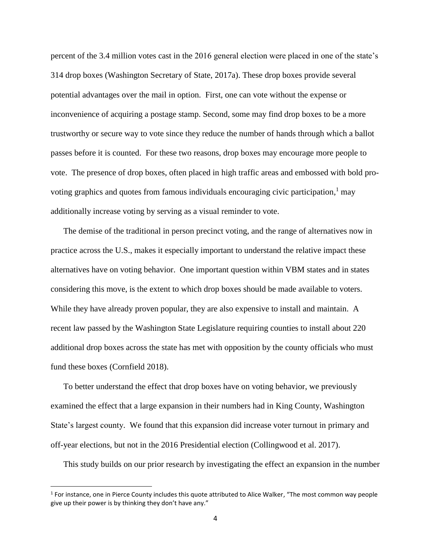percent of the 3.4 million votes cast in the 2016 general election were placed in one of the state's 314 drop boxes (Washington Secretary of State, 2017a). These drop boxes provide several potential advantages over the mail in option. First, one can vote without the expense or inconvenience of acquiring a postage stamp. Second, some may find drop boxes to be a more trustworthy or secure way to vote since they reduce the number of hands through which a ballot passes before it is counted. For these two reasons, drop boxes may encourage more people to vote. The presence of drop boxes, often placed in high traffic areas and embossed with bold provoting graphics and quotes from famous individuals encouraging civic participation,<sup>1</sup> may additionally increase voting by serving as a visual reminder to vote.

The demise of the traditional in person precinct voting, and the range of alternatives now in practice across the U.S., makes it especially important to understand the relative impact these alternatives have on voting behavior. One important question within VBM states and in states considering this move, is the extent to which drop boxes should be made available to voters. While they have already proven popular, they are also expensive to install and maintain. A recent law passed by the Washington State Legislature requiring counties to install about 220 additional drop boxes across the state has met with opposition by the county officials who must fund these boxes (Cornfield 2018).

To better understand the effect that drop boxes have on voting behavior, we previously examined the effect that a large expansion in their numbers had in King County, Washington State's largest county. We found that this expansion did increase voter turnout in primary and off-year elections, but not in the 2016 Presidential election (Collingwood et al. 2017).

This study builds on our prior research by investigating the effect an expansion in the number

 $\overline{\phantom{a}}$ 

<sup>&</sup>lt;sup>1</sup> For instance, one in Pierce County includes this quote attributed to Alice Walker, "The most common way people give up their power is by thinking they don't have any."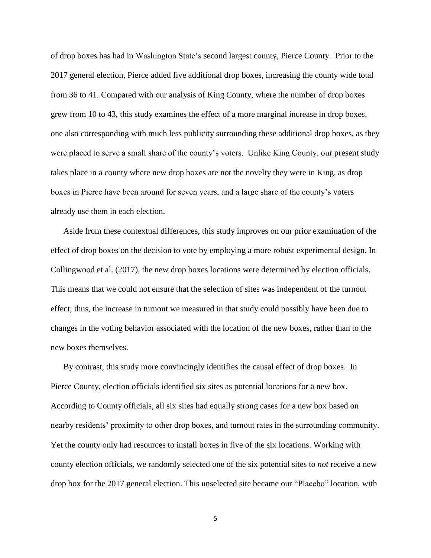of drop boxes has had in Washington State's second largest county, Pierce County. Prior to the 2017 general election, Pierce added five additional drop boxes, increasing the county wide total from 36 to 41. Compared with our analysis of King County, where the number of drop boxes grew from 10 to 43, this study examines the effect of a more marginal increase in drop boxes, one also corresponding with much less publicity surrounding these additional drop boxes, as they were placed to serve a small share of the county's voters. Unlike King County, our present study takes place in a county where new drop boxes are not the novelty they were in King, as drop boxes in Pierce have been around for seven years, and a large share of the county's voters already use them in each election.

Aside from these contextual differences, this study improves on our prior examination of the effect of drop boxes on the decision to vote by employing a more robust experimental design. In Collingwood et al. (2017), the new drop boxes locations were determined by election officials. This means that we could not ensure that the selection of sites was independent of the turnout effect; thus, the increase in turnout we measured in that study could possibly have been due to changes in the voting behavior associated with the location of the new boxes, rather than to the new boxes themselves.

By contrast, this study more convincingly identifies the causal effect of drop boxes. In Pierce County, election officials identified six sites as potential locations for a new box. According to County officials, all six sites had equally strong cases for a new box based on nearby residents' proximity to other drop boxes, and turnout rates in the surrounding community. Yet the county only had resources to install boxes in five of the six locations. Working with county election officials, we randomly selected one of the six potential sites to *not* receive a new drop box for the 2017 general election. This unselected site became our "Placebo" location, with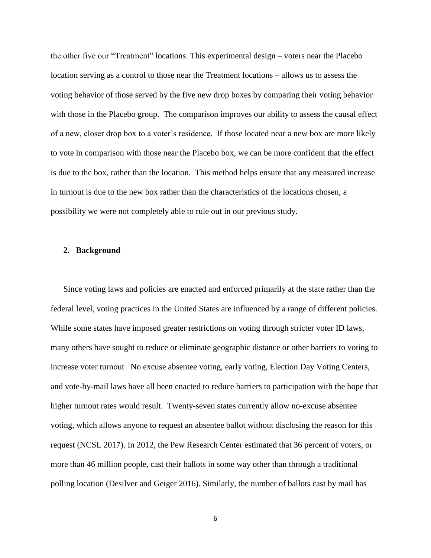the other five our "Treatment" locations. This experimental design – voters near the Placebo location serving as a control to those near the Treatment locations – allows us to assess the voting behavior of those served by the five new drop boxes by comparing their voting behavior with those in the Placebo group. The comparison improves our ability to assess the causal effect of a new, closer drop box to a voter's residence. If those located near a new box are more likely to vote in comparison with those near the Placebo box, we can be more confident that the effect is due to the box, rather than the location. This method helps ensure that any measured increase in turnout is due to the new box rather than the characteristics of the locations chosen, a possibility we were not completely able to rule out in our previous study.

#### **2. Background**

Since voting laws and policies are enacted and enforced primarily at the state rather than the federal level, voting practices in the United States are influenced by a range of different policies. While some states have imposed greater restrictions on voting through stricter voter ID laws, many others have sought to reduce or eliminate geographic distance or other barriers to voting to increase voter turnout No excuse absentee voting, early voting, Election Day Voting Centers, and vote-by-mail laws have all been enacted to reduce barriers to participation with the hope that higher turnout rates would result. Twenty-seven states currently allow no-excuse absentee voting, which allows anyone to request an absentee ballot without disclosing the reason for this request (NCSL 2017). In 2012, the Pew Research Center estimated that 36 percent of voters, or more than 46 million people, cast their ballots in some way other than through a traditional polling location (Desilver and Geiger 2016). Similarly, the number of ballots cast by mail has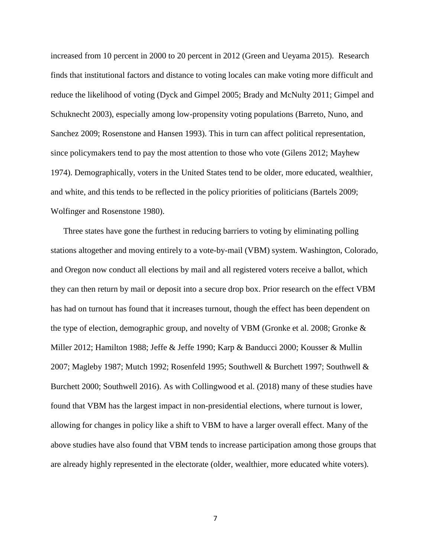increased from 10 percent in 2000 to 20 percent in 2012 (Green and Ueyama 2015). Research finds that institutional factors and distance to voting locales can make voting more difficult and reduce the likelihood of voting (Dyck and Gimpel 2005; Brady and McNulty 2011; Gimpel and Schuknecht 2003), especially among low-propensity voting populations (Barreto, Nuno, and Sanchez 2009; Rosenstone and Hansen 1993). This in turn can affect political representation, since policymakers tend to pay the most attention to those who vote (Gilens 2012; Mayhew 1974). Demographically, voters in the United States tend to be older, more educated, wealthier, and white, and this tends to be reflected in the policy priorities of politicians (Bartels 2009; Wolfinger and Rosenstone 1980).

Three states have gone the furthest in reducing barriers to voting by eliminating polling stations altogether and moving entirely to a vote-by-mail (VBM) system. Washington, Colorado, and Oregon now conduct all elections by mail and all registered voters receive a ballot, which they can then return by mail or deposit into a secure drop box. Prior research on the effect VBM has had on turnout has found that it increases turnout, though the effect has been dependent on the type of election, demographic group, and novelty of VBM (Gronke et al. 2008; Gronke & Miller 2012; Hamilton 1988; Jeffe & Jeffe 1990; Karp & Banducci 2000; Kousser & Mullin 2007; Magleby 1987; Mutch 1992; Rosenfeld 1995; Southwell & Burchett 1997; Southwell & Burchett 2000; Southwell 2016). As with Collingwood et al. (2018) many of these studies have found that VBM has the largest impact in non-presidential elections, where turnout is lower, allowing for changes in policy like a shift to VBM to have a larger overall effect. Many of the above studies have also found that VBM tends to increase participation among those groups that are already highly represented in the electorate (older, wealthier, more educated white voters).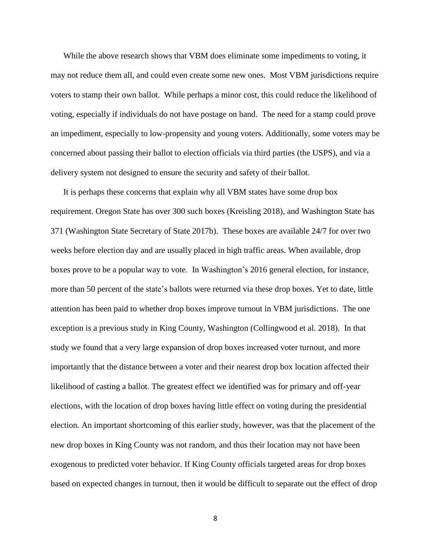While the above research shows that VBM does eliminate some impediments to voting, it may not reduce them all, and could even create some new ones. Most VBM jurisdictions require voters to stamp their own ballot. While perhaps a minor cost, this could reduce the likelihood of voting, especially if individuals do not have postage on hand. The need for a stamp could prove an impediment, especially to low-propensity and young voters. Additionally, some voters may be concerned about passing their ballot to election officials via third parties (the USPS), and via a delivery system not designed to ensure the security and safety of their ballot.

It is perhaps these concerns that explain why all VBM states have some drop box requirement. Oregon State has over 300 such boxes (Kreisling 2018), and Washington State has 371 (Washington State Secretary of State 2017b). These boxes are available 24/7 for over two weeks before election day and are usually placed in high traffic areas. When available, drop boxes prove to be a popular way to vote. In Washington's 2016 general election, for instance, more than 50 percent of the state's ballots were returned via these drop boxes. Yet to date, little attention has been paid to whether drop boxes improve turnout in VBM jurisdictions. The one exception is a previous study in King County, Washington (Collingwood et al. 2018). In that study we found that a very large expansion of drop boxes increased voter turnout, and more importantly that the distance between a voter and their nearest drop box location affected their likelihood of casting a ballot. The greatest effect we identified was for primary and off-year elections, with the location of drop boxes having little effect on voting during the presidential election. An important shortcoming of this earlier study, however, was that the placement of the new drop boxes in King County was not random, and thus their location may not have been exogenous to predicted voter behavior. If King County officials targeted areas for drop boxes based on expected changes in turnout, then it would be difficult to separate out the effect of drop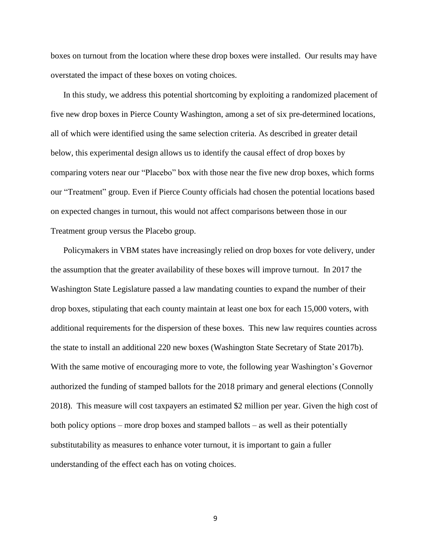boxes on turnout from the location where these drop boxes were installed. Our results may have overstated the impact of these boxes on voting choices.

In this study, we address this potential shortcoming by exploiting a randomized placement of five new drop boxes in Pierce County Washington, among a set of six pre-determined locations, all of which were identified using the same selection criteria. As described in greater detail below, this experimental design allows us to identify the causal effect of drop boxes by comparing voters near our "Placebo" box with those near the five new drop boxes, which forms our "Treatment" group. Even if Pierce County officials had chosen the potential locations based on expected changes in turnout, this would not affect comparisons between those in our Treatment group versus the Placebo group.

Policymakers in VBM states have increasingly relied on drop boxes for vote delivery, under the assumption that the greater availability of these boxes will improve turnout. In 2017 the Washington State Legislature passed a law mandating counties to expand the number of their drop boxes, stipulating that each county maintain at least one box for each 15,000 voters, with additional requirements for the dispersion of these boxes. This new law requires counties across the state to install an additional 220 new boxes (Washington State Secretary of State 2017b). With the same motive of encouraging more to vote, the following year Washington's Governor authorized the funding of stamped ballots for the 2018 primary and general elections (Connolly 2018). This measure will cost taxpayers an estimated \$2 million per year. Given the high cost of both policy options – more drop boxes and stamped ballots – as well as their potentially substitutability as measures to enhance voter turnout, it is important to gain a fuller understanding of the effect each has on voting choices.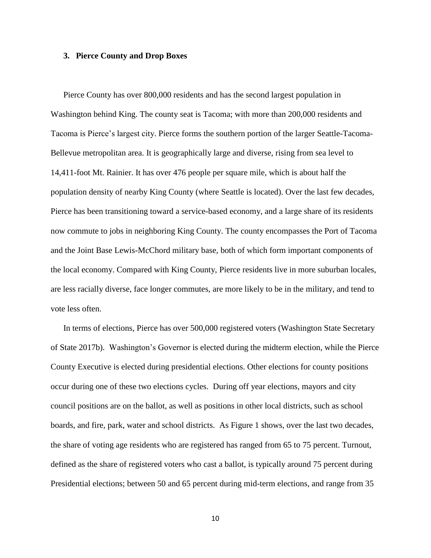#### **3. Pierce County and Drop Boxes**

Pierce County has over 800,000 residents and has the second largest population in Washington behind King. The county seat is Tacoma; with more than 200,000 residents and Tacoma is Pierce's largest city. Pierce forms the southern portion of the larger Seattle-Tacoma-Bellevue metropolitan area. It is geographically large and diverse, rising from sea level to 14,411-foot Mt. Rainier. It has over 476 people per square mile, which is about half the population density of nearby King County (where Seattle is located). Over the last few decades, Pierce has been transitioning toward a service-based economy, and a large share of its residents now commute to jobs in neighboring King County. The county encompasses the Port of Tacoma and the Joint Base Lewis-McChord military base, both of which form important components of the local economy. Compared with King County, Pierce residents live in more suburban locales, are less racially diverse, face longer commutes, are more likely to be in the military, and tend to vote less often.

In terms of elections, Pierce has over 500,000 registered voters (Washington State Secretary of State 2017b). Washington's Governor is elected during the midterm election, while the Pierce County Executive is elected during presidential elections. Other elections for county positions occur during one of these two elections cycles. During off year elections, mayors and city council positions are on the ballot, as well as positions in other local districts, such as school boards, and fire, park, water and school districts. As Figure 1 shows, over the last two decades, the share of voting age residents who are registered has ranged from 65 to 75 percent. Turnout, defined as the share of registered voters who cast a ballot, is typically around 75 percent during Presidential elections; between 50 and 65 percent during mid-term elections, and range from 35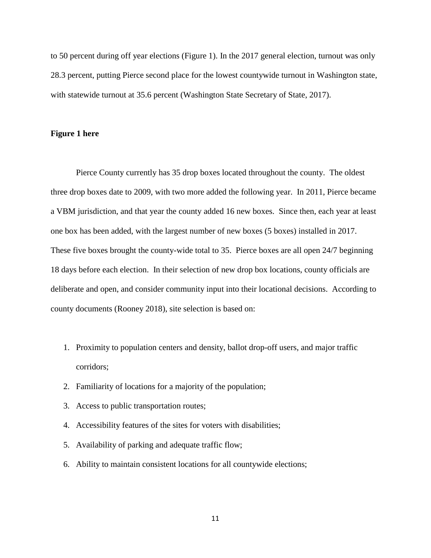to 50 percent during off year elections (Figure 1). In the 2017 general election, turnout was only 28.3 percent, putting Pierce second place for the lowest countywide turnout in Washington state, with statewide turnout at 35.6 percent (Washington State Secretary of State, 2017).

# **Figure 1 here**

Pierce County currently has 35 drop boxes located throughout the county. The oldest three drop boxes date to 2009, with two more added the following year. In 2011, Pierce became a VBM jurisdiction, and that year the county added 16 new boxes. Since then, each year at least one box has been added, with the largest number of new boxes (5 boxes) installed in 2017. These five boxes brought the county-wide total to 35. Pierce boxes are all open 24/7 beginning 18 days before each election. In their selection of new drop box locations, county officials are deliberate and open, and consider community input into their locational decisions. According to county documents (Rooney 2018), site selection is based on:

- 1. Proximity to population centers and density, ballot drop-off users, and major traffic corridors;
- 2. Familiarity of locations for a majority of the population;
- 3. Access to public transportation routes;
- 4. Accessibility features of the sites for voters with disabilities;
- 5. Availability of parking and adequate traffic flow;
- 6. Ability to maintain consistent locations for all countywide elections;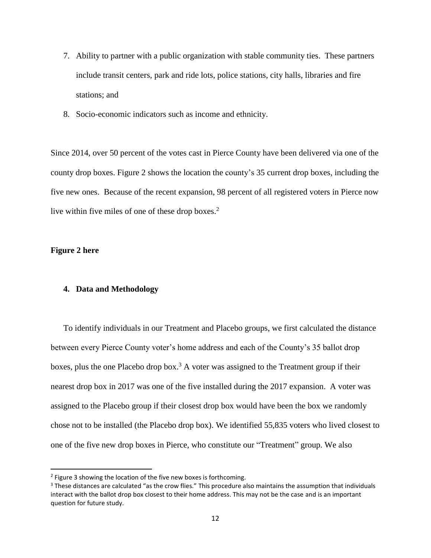- 7. Ability to partner with a public organization with stable community ties. These partners include transit centers, park and ride lots, police stations, city halls, libraries and fire stations; and
- 8. Socio-economic indicators such as income and ethnicity.

Since 2014, over 50 percent of the votes cast in Pierce County have been delivered via one of the county drop boxes. Figure 2 shows the location the county's 35 current drop boxes, including the five new ones. Because of the recent expansion, 98 percent of all registered voters in Pierce now live within five miles of one of these drop boxes. $2$ 

# **Figure 2 here**

l

#### **4. Data and Methodology**

To identify individuals in our Treatment and Placebo groups, we first calculated the distance between every Pierce County voter's home address and each of the County's 35 ballot drop boxes, plus the one Placebo drop box.<sup>3</sup> A voter was assigned to the Treatment group if their nearest drop box in 2017 was one of the five installed during the 2017 expansion. A voter was assigned to the Placebo group if their closest drop box would have been the box we randomly chose not to be installed (the Placebo drop box). We identified 55,835 voters who lived closest to one of the five new drop boxes in Pierce, who constitute our "Treatment" group. We also

 $2$  Figure 3 showing the location of the five new boxes is forthcoming.

<sup>&</sup>lt;sup>3</sup> These distances are calculated "as the crow flies." This procedure also maintains the assumption that individuals interact with the ballot drop box closest to their home address. This may not be the case and is an important question for future study.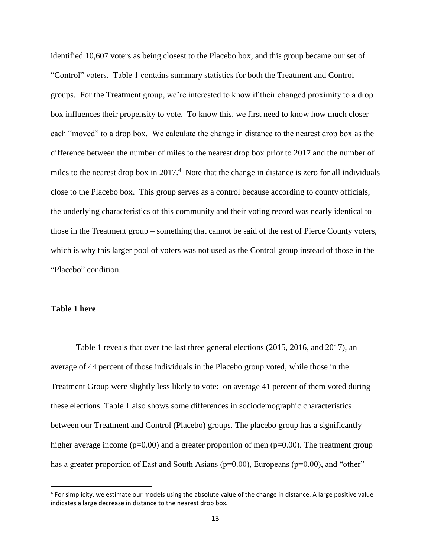identified 10,607 voters as being closest to the Placebo box, and this group became our set of "Control" voters. Table 1 contains summary statistics for both the Treatment and Control groups. For the Treatment group, we're interested to know if their changed proximity to a drop box influences their propensity to vote. To know this, we first need to know how much closer each "moved" to a drop box. We calculate the change in distance to the nearest drop box as the difference between the number of miles to the nearest drop box prior to 2017 and the number of miles to the nearest drop box in 2017.<sup>4</sup> Note that the change in distance is zero for all individuals close to the Placebo box. This group serves as a control because according to county officials, the underlying characteristics of this community and their voting record was nearly identical to those in the Treatment group – something that cannot be said of the rest of Pierce County voters, which is why this larger pool of voters was not used as the Control group instead of those in the "Placebo" condition.

# **Table 1 here**

 $\overline{\phantom{a}}$ 

Table 1 reveals that over the last three general elections (2015, 2016, and 2017), an average of 44 percent of those individuals in the Placebo group voted, while those in the Treatment Group were slightly less likely to vote: on average 41 percent of them voted during these elections. Table 1 also shows some differences in sociodemographic characteristics between our Treatment and Control (Placebo) groups. The placebo group has a significantly higher average income ( $p=0.00$ ) and a greater proportion of men ( $p=0.00$ ). The treatment group has a greater proportion of East and South Asians (p=0.00), Europeans (p=0.00), and "other"

<sup>&</sup>lt;sup>4</sup> For simplicity, we estimate our models using the absolute value of the change in distance. A large positive value indicates a large decrease in distance to the nearest drop box.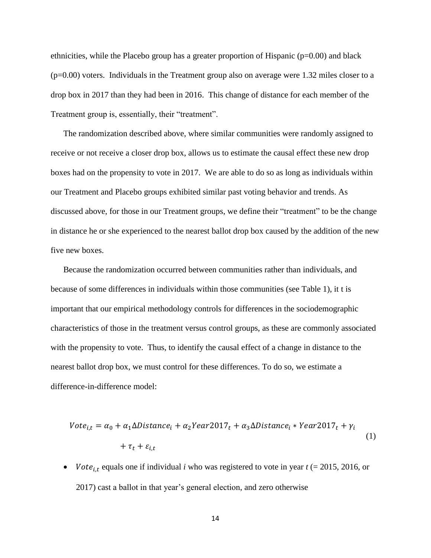ethnicities, while the Placebo group has a greater proportion of Hispanic  $(p=0.00)$  and black (p=0.00) voters. Individuals in the Treatment group also on average were 1.32 miles closer to a drop box in 2017 than they had been in 2016. This change of distance for each member of the Treatment group is, essentially, their "treatment".

The randomization described above, where similar communities were randomly assigned to receive or not receive a closer drop box, allows us to estimate the causal effect these new drop boxes had on the propensity to vote in 2017. We are able to do so as long as individuals within our Treatment and Placebo groups exhibited similar past voting behavior and trends. As discussed above, for those in our Treatment groups, we define their "treatment" to be the change in distance he or she experienced to the nearest ballot drop box caused by the addition of the new five new boxes.

Because the randomization occurred between communities rather than individuals, and because of some differences in individuals within those communities (see Table 1), it t is important that our empirical methodology controls for differences in the sociodemographic characteristics of those in the treatment versus control groups, as these are commonly associated with the propensity to vote. Thus, to identify the causal effect of a change in distance to the nearest ballot drop box, we must control for these differences. To do so, we estimate a difference-in-difference model:

$$
Vote_{i,t} = \alpha_0 + \alpha_1 \Delta Distance_i + \alpha_2 Year2017_t + \alpha_3 \Delta Distance_i * Year2017_t + \gamma_i
$$
  
+  $\tau_t + \varepsilon_{i,t}$  (1)

• *Vote*<sub>it</sub> equals one if individual *i* who was registered to vote in year  $t$  (= 2015, 2016, or 2017) cast a ballot in that year's general election, and zero otherwise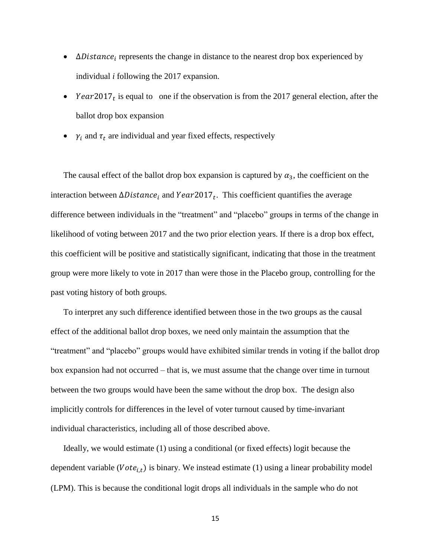- $\Delta Distance_i$  represents the change in distance to the nearest drop box experienced by individual *i* following the 2017 expansion.
- Year2017<sub>t</sub> is equal to one if the observation is from the 2017 general election, after the ballot drop box expansion
- $\gamma_i$  and  $\tau_t$  are individual and year fixed effects, respectively

The causal effect of the ballot drop box expansion is captured by  $\alpha_3$ , the coefficient on the interaction between  $ΔDistance<sub>i</sub>$  and  $Year2017<sub>t</sub>$ . This coefficient quantifies the average difference between individuals in the "treatment" and "placebo" groups in terms of the change in likelihood of voting between 2017 and the two prior election years. If there is a drop box effect, this coefficient will be positive and statistically significant, indicating that those in the treatment group were more likely to vote in 2017 than were those in the Placebo group, controlling for the past voting history of both groups.

To interpret any such difference identified between those in the two groups as the causal effect of the additional ballot drop boxes, we need only maintain the assumption that the "treatment" and "placebo" groups would have exhibited similar trends in voting if the ballot drop box expansion had not occurred – that is, we must assume that the change over time in turnout between the two groups would have been the same without the drop box. The design also implicitly controls for differences in the level of voter turnout caused by time-invariant individual characteristics, including all of those described above.

Ideally, we would estimate (1) using a conditional (or fixed effects) logit because the dependent variable ( $Vote_{i,t}$ ) is binary. We instead estimate (1) using a linear probability model (LPM). This is because the conditional logit drops all individuals in the sample who do not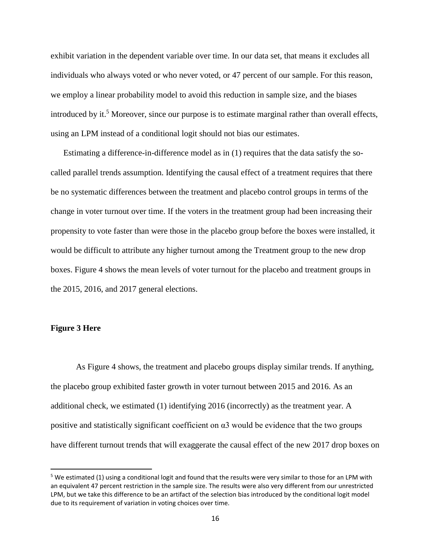exhibit variation in the dependent variable over time. In our data set, that means it excludes all individuals who always voted or who never voted, or 47 percent of our sample. For this reason, we employ a linear probability model to avoid this reduction in sample size, and the biases introduced by it.<sup>5</sup> Moreover, since our purpose is to estimate marginal rather than overall effects, using an LPM instead of a conditional logit should not bias our estimates.

Estimating a difference-in-difference model as in (1) requires that the data satisfy the socalled parallel trends assumption. Identifying the causal effect of a treatment requires that there be no systematic differences between the treatment and placebo control groups in terms of the change in voter turnout over time. If the voters in the treatment group had been increasing their propensity to vote faster than were those in the placebo group before the boxes were installed, it would be difficult to attribute any higher turnout among the Treatment group to the new drop boxes. Figure 4 shows the mean levels of voter turnout for the placebo and treatment groups in the 2015, 2016, and 2017 general elections.

# **Figure 3 Here**

l

As Figure 4 shows, the treatment and placebo groups display similar trends. If anything, the placebo group exhibited faster growth in voter turnout between 2015 and 2016. As an additional check, we estimated (1) identifying 2016 (incorrectly) as the treatment year. A positive and statistically significant coefficient on  $\alpha$ 3 would be evidence that the two groups have different turnout trends that will exaggerate the causal effect of the new 2017 drop boxes on

 $5$  We estimated (1) using a conditional logit and found that the results were very similar to those for an LPM with an equivalent 47 percent restriction in the sample size. The results were also very different from our unrestricted LPM, but we take this difference to be an artifact of the selection bias introduced by the conditional logit model due to its requirement of variation in voting choices over time.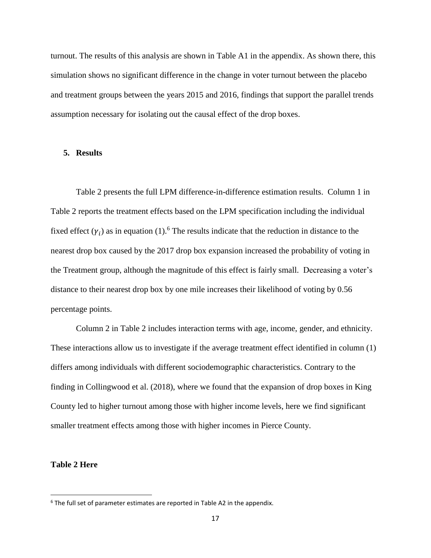turnout. The results of this analysis are shown in Table A1 in the appendix. As shown there, this simulation shows no significant difference in the change in voter turnout between the placebo and treatment groups between the years 2015 and 2016, findings that support the parallel trends assumption necessary for isolating out the causal effect of the drop boxes.

#### **5. Results**

Table 2 presents the full LPM difference-in-difference estimation results. Column 1 in Table 2 reports the treatment effects based on the LPM specification including the individual fixed effect  $(\gamma_i)$  as in equation (1).<sup>6</sup> The results indicate that the reduction in distance to the nearest drop box caused by the 2017 drop box expansion increased the probability of voting in the Treatment group, although the magnitude of this effect is fairly small. Decreasing a voter's distance to their nearest drop box by one mile increases their likelihood of voting by 0.56 percentage points.

Column 2 in Table 2 includes interaction terms with age, income, gender, and ethnicity. These interactions allow us to investigate if the average treatment effect identified in column (1) differs among individuals with different sociodemographic characteristics. Contrary to the finding in Collingwood et al. (2018), where we found that the expansion of drop boxes in King County led to higher turnout among those with higher income levels, here we find significant smaller treatment effects among those with higher incomes in Pierce County.

# **Table 2 Here**

 $\overline{\phantom{a}}$ 

<sup>&</sup>lt;sup>6</sup> The full set of parameter estimates are reported in Table A2 in the appendix.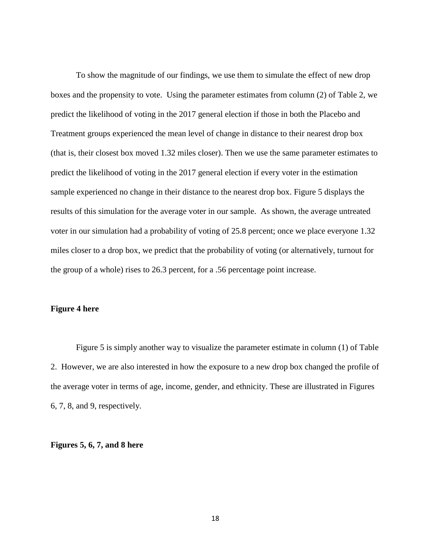To show the magnitude of our findings, we use them to simulate the effect of new drop boxes and the propensity to vote. Using the parameter estimates from column (2) of Table 2, we predict the likelihood of voting in the 2017 general election if those in both the Placebo and Treatment groups experienced the mean level of change in distance to their nearest drop box (that is, their closest box moved 1.32 miles closer). Then we use the same parameter estimates to predict the likelihood of voting in the 2017 general election if every voter in the estimation sample experienced no change in their distance to the nearest drop box. Figure 5 displays the results of this simulation for the average voter in our sample. As shown, the average untreated voter in our simulation had a probability of voting of 25.8 percent; once we place everyone 1.32 miles closer to a drop box, we predict that the probability of voting (or alternatively, turnout for the group of a whole) rises to 26.3 percent, for a .56 percentage point increase.

#### **Figure 4 here**

Figure 5 is simply another way to visualize the parameter estimate in column (1) of Table 2. However, we are also interested in how the exposure to a new drop box changed the profile of the average voter in terms of age, income, gender, and ethnicity. These are illustrated in Figures 6, 7, 8, and 9, respectively.

#### **Figures 5, 6, 7, and 8 here**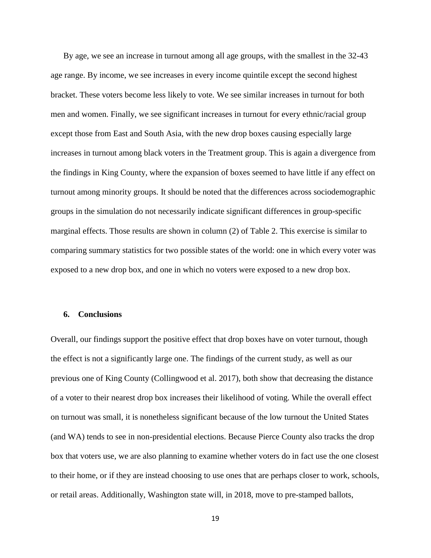By age, we see an increase in turnout among all age groups, with the smallest in the 32-43 age range. By income, we see increases in every income quintile except the second highest bracket. These voters become less likely to vote. We see similar increases in turnout for both men and women. Finally, we see significant increases in turnout for every ethnic/racial group except those from East and South Asia, with the new drop boxes causing especially large increases in turnout among black voters in the Treatment group. This is again a divergence from the findings in King County, where the expansion of boxes seemed to have little if any effect on turnout among minority groups. It should be noted that the differences across sociodemographic groups in the simulation do not necessarily indicate significant differences in group-specific marginal effects. Those results are shown in column (2) of Table 2. This exercise is similar to comparing summary statistics for two possible states of the world: one in which every voter was exposed to a new drop box, and one in which no voters were exposed to a new drop box.

#### **6. Conclusions**

Overall, our findings support the positive effect that drop boxes have on voter turnout, though the effect is not a significantly large one. The findings of the current study, as well as our previous one of King County (Collingwood et al. 2017), both show that decreasing the distance of a voter to their nearest drop box increases their likelihood of voting. While the overall effect on turnout was small, it is nonetheless significant because of the low turnout the United States (and WA) tends to see in non-presidential elections. Because Pierce County also tracks the drop box that voters use, we are also planning to examine whether voters do in fact use the one closest to their home, or if they are instead choosing to use ones that are perhaps closer to work, schools, or retail areas. Additionally, Washington state will, in 2018, move to pre-stamped ballots,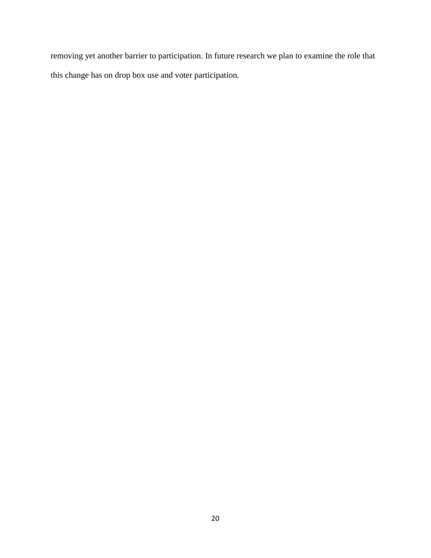removing yet another barrier to participation. In future research we plan to examine the role that this change has on drop box use and voter participation.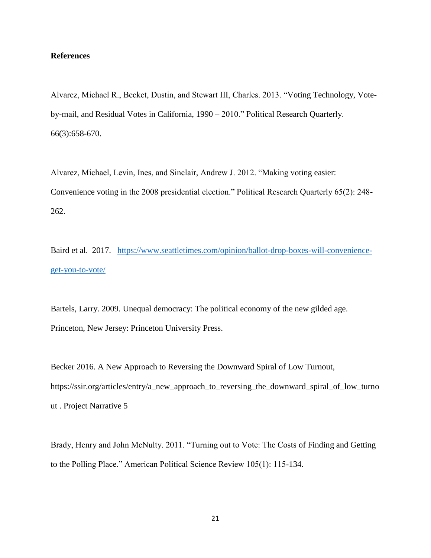# **References**

Alvarez, Michael R., Becket, Dustin, and Stewart III, Charles. 2013. "Voting Technology, Voteby-mail, and Residual Votes in California, 1990 – 2010." Political Research Quarterly. 66(3):658-670.

Alvarez, Michael, Levin, Ines, and Sinclair, Andrew J. 2012. "Making voting easier: Convenience voting in the 2008 presidential election." Political Research Quarterly 65(2): 248- 262.

Baird et al. 2017. [https://www.seattletimes.com/opinion/ballot-drop-boxes-will-convenience](https://www.seattletimes.com/opinion/ballot-drop-boxes-will-convenience-get-you-to-vote/)[get-you-to-vote/](https://www.seattletimes.com/opinion/ballot-drop-boxes-will-convenience-get-you-to-vote/)

Bartels, Larry. 2009. Unequal democracy: The political economy of the new gilded age. Princeton, New Jersey: Princeton University Press.

Becker 2016. A New Approach to Reversing the Downward Spiral of Low Turnout, https://ssir.org/articles/entry/a\_new\_approach\_to\_reversing\_the\_downward\_spiral\_of\_low\_turno ut . Project Narrative 5

Brady, Henry and John McNulty. 2011. "Turning out to Vote: The Costs of Finding and Getting to the Polling Place." American Political Science Review 105(1): 115-134.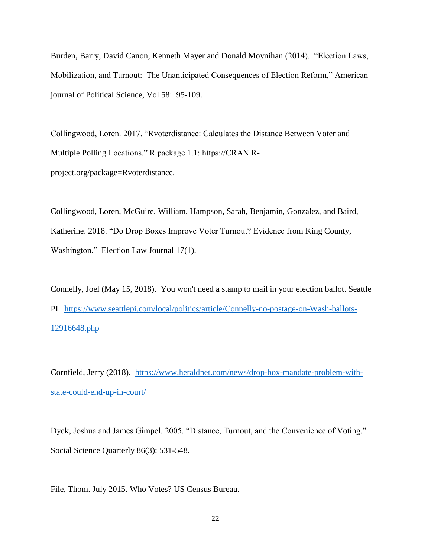Burden, Barry, David Canon, Kenneth Mayer and Donald Moynihan (2014). "Election Laws, Mobilization, and Turnout: The Unanticipated Consequences of Election Reform," American journal of Political Science, Vol 58: 95-109.

Collingwood, Loren. 2017. "Rvoterdistance: Calculates the Distance Between Voter and Multiple Polling Locations." R package 1.1: https://CRAN.Rproject.org/package=Rvoterdistance.

Collingwood, Loren, McGuire, William, Hampson, Sarah, Benjamin, Gonzalez, and Baird, Katherine. 2018. "Do Drop Boxes Improve Voter Turnout? Evidence from King County, Washington." Election Law Journal 17(1).

Connelly, Joel (May 15, 2018). You won't need a stamp to mail in your election ballot. Seattle PI. [https://www.seattlepi.com/local/politics/article/Connelly-no-postage-on-Wash-ballots-](https://www.seattlepi.com/local/politics/article/Connelly-no-postage-on-Wash-ballots-12916648.php)[12916648.php](https://www.seattlepi.com/local/politics/article/Connelly-no-postage-on-Wash-ballots-12916648.php)

Cornfield, Jerry (2018). [https://www.heraldnet.com/news/drop-box-mandate-problem-with](https://www.heraldnet.com/news/drop-box-mandate-problem-with-state-could-end-up-in-court/)[state-could-end-up-in-court/](https://www.heraldnet.com/news/drop-box-mandate-problem-with-state-could-end-up-in-court/)

Dyck, Joshua and James Gimpel. 2005. "Distance, Turnout, and the Convenience of Voting." Social Science Quarterly 86(3): 531-548.

File, Thom. July 2015. Who Votes? US Census Bureau.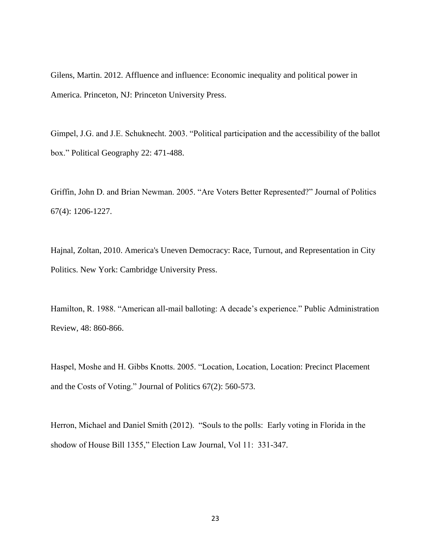Gilens, Martin. 2012. Affluence and influence: Economic inequality and political power in America. Princeton, NJ: Princeton University Press.

Gimpel, J.G. and J.E. Schuknecht. 2003. "Political participation and the accessibility of the ballot box." Political Geography 22: 471-488.

Griffin, John D. and Brian Newman. 2005. "Are Voters Better Represented?" Journal of Politics 67(4): 1206-1227.

Hajnal, Zoltan, 2010. America's Uneven Democracy: Race, Turnout, and Representation in City Politics. New York: Cambridge University Press.

Hamilton, R. 1988. "American all-mail balloting: A decade's experience." Public Administration Review, 48: 860-866.

Haspel, Moshe and H. Gibbs Knotts. 2005. "Location, Location, Location: Precinct Placement and the Costs of Voting." Journal of Politics 67(2): 560-573.

Herron, Michael and Daniel Smith (2012). "Souls to the polls: Early voting in Florida in the shodow of House Bill 1355," Election Law Journal, Vol 11: 331-347.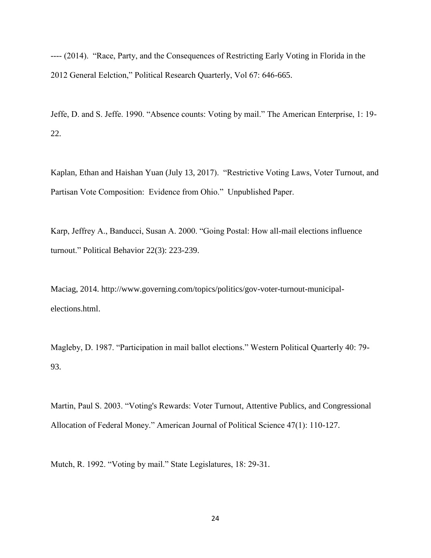---- (2014). "Race, Party, and the Consequences of Restricting Early Voting in Florida in the 2012 General Eelction," Political Research Quarterly, Vol 67: 646-665.

Jeffe, D. and S. Jeffe. 1990. "Absence counts: Voting by mail." The American Enterprise, 1: 19- 22.

Kaplan, Ethan and Haishan Yuan (July 13, 2017). "Restrictive Voting Laws, Voter Turnout, and Partisan Vote Composition: Evidence from Ohio." Unpublished Paper.

Karp, Jeffrey A., Banducci, Susan A. 2000. "Going Postal: How all-mail elections influence turnout." Political Behavior 22(3): 223-239.

Maciag, 2014. http://www.governing.com/topics/politics/gov-voter-turnout-municipalelections.html.

Magleby, D. 1987. "Participation in mail ballot elections." Western Political Quarterly 40: 79- 93.

Martin, Paul S. 2003. "Voting's Rewards: Voter Turnout, Attentive Publics, and Congressional Allocation of Federal Money." American Journal of Political Science 47(1): 110-127.

Mutch, R. 1992. "Voting by mail." State Legislatures, 18: 29-31.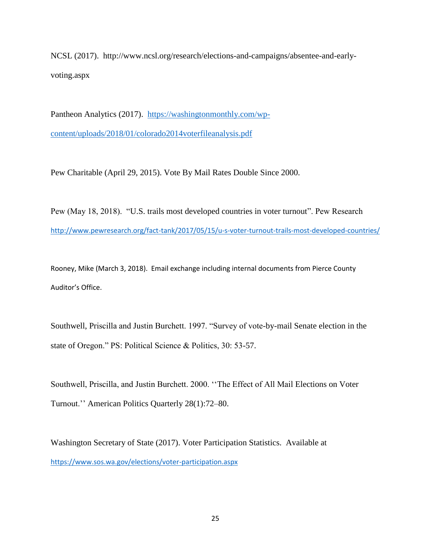NCSL (2017). http://www.ncsl.org/research/elections-and-campaigns/absentee-and-earlyvoting.aspx

Pantheon Analytics (2017). [https://washingtonmonthly.com/wp](https://washingtonmonthly.com/wp-content/uploads/2018/01/colorado2014voterfileanalysis.pdf)[content/uploads/2018/01/colorado2014voterfileanalysis.pdf](https://washingtonmonthly.com/wp-content/uploads/2018/01/colorado2014voterfileanalysis.pdf)

Pew Charitable (April 29, 2015). Vote By Mail Rates Double Since 2000.

Pew (May 18, 2018). "U.S. trails most developed countries in voter turnout". Pew Research <http://www.pewresearch.org/fact-tank/2017/05/15/u-s-voter-turnout-trails-most-developed-countries/>

Rooney, Mike (March 3, 2018). Email exchange including internal documents from Pierce County Auditor's Office.

Southwell, Priscilla and Justin Burchett. 1997. "Survey of vote-by-mail Senate election in the state of Oregon." PS: Political Science & Politics, 30: 53-57.

Southwell, Priscilla, and Justin Burchett. 2000. ''The Effect of All Mail Elections on Voter Turnout.'' American Politics Quarterly 28(1):72–80.

Washington Secretary of State (2017). Voter Participation Statistics. Available at <https://www.sos.wa.gov/elections/voter-participation.aspx>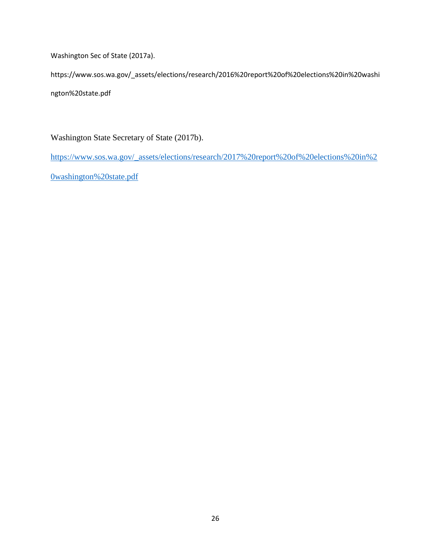Washington Sec of State (2017a).

https://www.sos.wa.gov/\_assets/elections/research/2016%20report%20of%20elections%20in%20washi ngton%20state.pdf

Washington State Secretary of State (2017b).

[https://www.sos.wa.gov/\\_assets/elections/research/2017%20report%20of%20elections%20in%2](https://www.sos.wa.gov/_assets/elections/research/2017%20report%20of%20elections%20in%20washington%20state.pdf)

[0washington%20state.pdf](https://www.sos.wa.gov/_assets/elections/research/2017%20report%20of%20elections%20in%20washington%20state.pdf)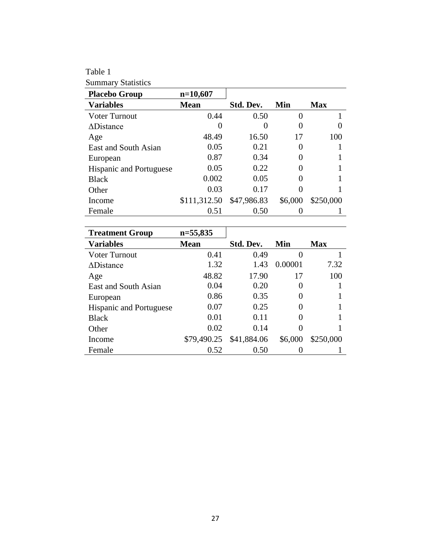Table 1 Summary Statistics

| <b>Placebo Group</b>           | $n=10,607$    |             |                   |            |
|--------------------------------|---------------|-------------|-------------------|------------|
| <b>Variables</b>               | <b>Mean</b>   | Std. Dev.   | Min               | <b>Max</b> |
| <b>Voter Turnout</b>           | 0.44          | 0.50        | $\mathbf{\Omega}$ |            |
| <b>ADistance</b>               | $\mathcal{O}$ |             |                   |            |
| Age                            | 48.49         | 16.50       | 17                | 100        |
| East and South Asian           | 0.05          | 0.21        |                   |            |
| European                       | 0.87          | 0.34        |                   |            |
| <b>Hispanic and Portuguese</b> | 0.05          | 0.22        |                   |            |
| <b>Black</b>                   | 0.002         | 0.05        |                   |            |
| Other                          | 0.03          | 0.17        |                   |            |
| Income                         | \$111,312.50  | \$47,986.83 | \$6,000           | \$250,000  |
| Female                         | 0.51          | 0.50        |                   |            |

| <b>Treatment Group</b>         | $n=55,835$  |             |                   |            |
|--------------------------------|-------------|-------------|-------------------|------------|
| <b>Variables</b>               | <b>Mean</b> | Std. Dev.   | Min               | <b>Max</b> |
| <b>Voter Turnout</b>           | 0.41        | 0.49        | 0                 |            |
| $\triangle$ Distance           | 1.32        | 1.43        | 0.00001           | 7.32       |
| Age                            | 48.82       | 17.90       | 17                | 100        |
| East and South Asian           | 0.04        | 0.20        | 0                 |            |
| European                       | 0.86        | 0.35        | $\theta$          |            |
| <b>Hispanic and Portuguese</b> | 0.07        | 0.25        | 0                 |            |
| <b>Black</b>                   | 0.01        | 0.11        | 0                 |            |
| Other                          | 0.02        | 0.14        | $\mathbf{\Omega}$ |            |
| Income                         | \$79,490.25 | \$41,884.06 | \$6,000           | \$250,000  |
| Female                         | 0.52        | 0.50        |                   |            |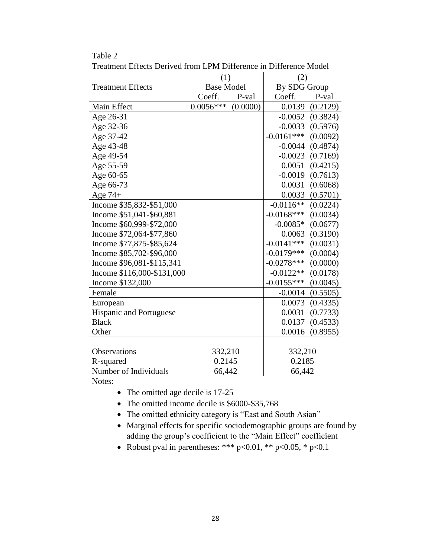|                            | (1)<br><b>Base Model</b> |          | (2)           |          |
|----------------------------|--------------------------|----------|---------------|----------|
| <b>Treatment Effects</b>   |                          |          | By SDG Group  |          |
|                            | Coeff.                   | P-val    | Coeff.        | P-val    |
| Main Effect                | $0.0056***$              | (0.0000) | 0.0139        | (0.2129) |
| Age 26-31                  |                          |          | $-0.0052$     | (0.3824) |
| Age 32-36                  |                          |          | $-0.0033$     | (0.5976) |
| Age 37-42                  |                          |          | $-0.0161***$  | (0.0092) |
| Age 43-48                  |                          |          | $-0.0044$     | (0.4874) |
| Age 49-54                  |                          |          | $-0.0023$     | (0.7169) |
| Age 55-59                  |                          |          | 0.0051        | (0.4215) |
| Age 60-65                  |                          |          | $-0.0019$     | (0.7613) |
| Age 66-73                  |                          |          | 0.0031        | (0.6068) |
| Age $74+$                  |                          |          | 0.0033        | (0.5701) |
| Income \$35,832-\$51,000   |                          |          | $-0.0116**$   | (0.0224) |
| Income \$51,041-\$60,881   |                          |          | $-0.0168$ *** | (0.0034) |
| Income \$60,999-\$72,000   |                          |          | $-0.0085*$    | (0.0677) |
| Income \$72,064-\$77,860   |                          |          | 0.0063        | (0.3190) |
| Income \$77,875-\$85,624   |                          |          | $-0.0141***$  | (0.0031) |
| Income \$85,702-\$96,000   |                          |          | $-0.0179***$  | (0.0004) |
| Income \$96,081-\$115,341  |                          |          | $-0.0278***$  | (0.0000) |
| Income \$116,000-\$131,000 |                          |          | $-0.0122**$   | (0.0178) |
| Income \$132,000           |                          |          | $-0.0155***$  | (0.0045) |
| Female                     |                          |          | $-0.0014$     | (0.5505) |
| European                   |                          |          | 0.0073        | (0.4335) |
| Hispanic and Portuguese    |                          |          | 0.0031        | (0.7733) |
| <b>Black</b>               |                          |          | 0.0137        | (0.4533) |
| Other                      |                          |          | 0.0016        | (0.8955) |
|                            |                          |          |               |          |
| Observations               | 332,210                  |          | 332,210       |          |
| R-squared                  | 0.2145                   |          | 0.2185        |          |
| Number of Individuals      | 66,442                   |          | 66,442        |          |

Table 2 Treatment Effects Derived from LPM Difference in Difference Model

Notes:

- The omitted age decile is 17-25
- The omitted income decile is \$6000-\$35,768
- The omitted ethnicity category is "East and South Asian"
- Marginal effects for specific sociodemographic groups are found by adding the group's coefficient to the "Main Effect" coefficient
- Robust pval in parentheses: \*\*\* p<0.01, \*\* p<0.05, \* p<0.1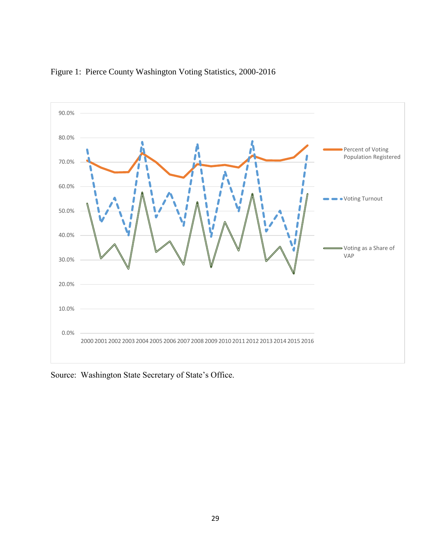

# Figure 1: Pierce County Washington Voting Statistics, 2000-2016

Source: Washington State Secretary of State's Office.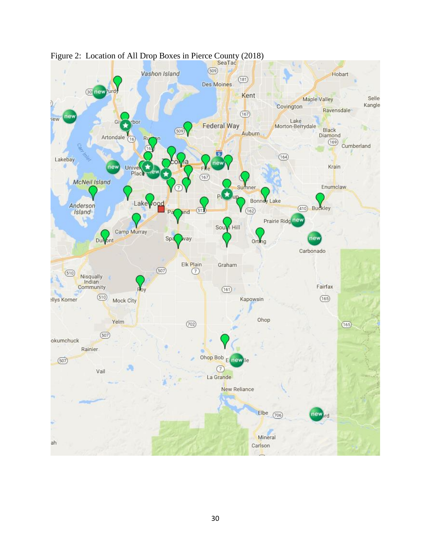

Figure 2: Location of All Drop Boxes in Pierce County (2018)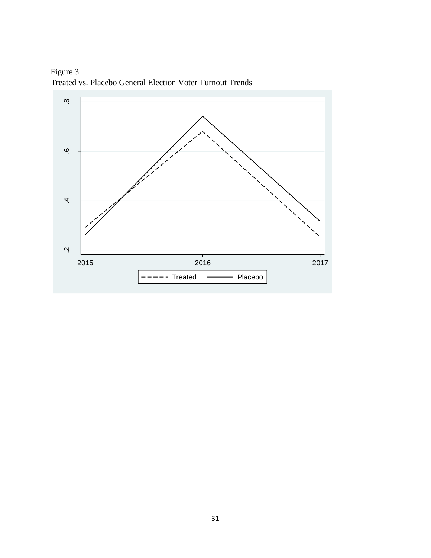Figure 3 Treated vs. Placebo General Election Voter Turnout Trends

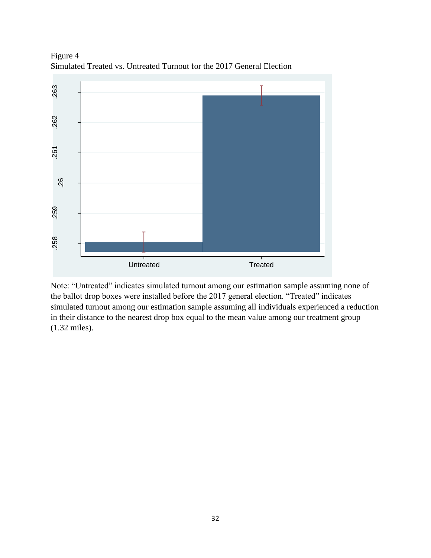Figure 4 Simulated Treated vs. Untreated Turnout for the 2017 General Election



Note: "Untreated" indicates simulated turnout among our estimation sample assuming none of the ballot drop boxes were installed before the 2017 general election. "Treated" indicates simulated turnout among our estimation sample assuming all individuals experienced a reduction in their distance to the nearest drop box equal to the mean value among our treatment group (1.32 miles).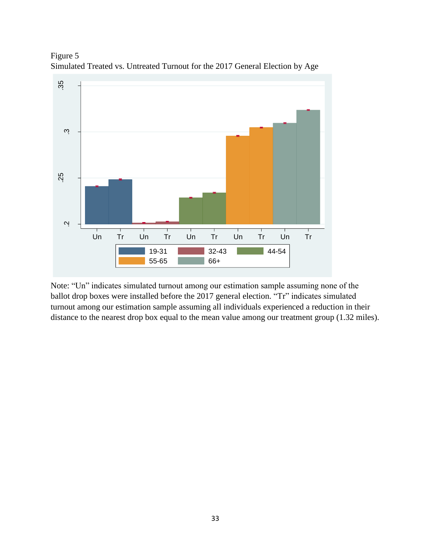

Figure 5 Simulated Treated vs. Untreated Turnout for the 2017 General Election by Age

Note: "Un" indicates simulated turnout among our estimation sample assuming none of the ballot drop boxes were installed before the 2017 general election. "Tr" indicates simulated turnout among our estimation sample assuming all individuals experienced a reduction in their distance to the nearest drop box equal to the mean value among our treatment group (1.32 miles).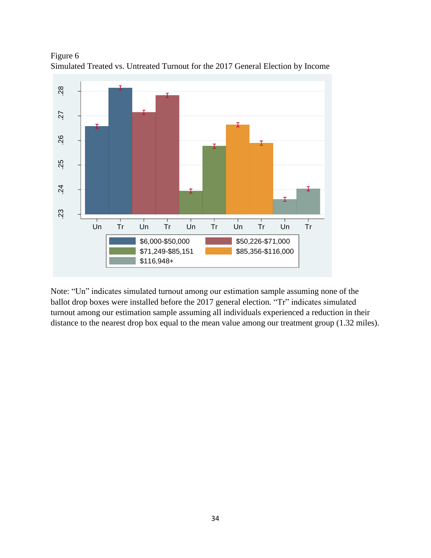

Figure 6 Simulated Treated vs. Untreated Turnout for the 2017 General Election by Income

Note: "Un" indicates simulated turnout among our estimation sample assuming none of the ballot drop boxes were installed before the 2017 general election. "Tr" indicates simulated turnout among our estimation sample assuming all individuals experienced a reduction in their distance to the nearest drop box equal to the mean value among our treatment group (1.32 miles).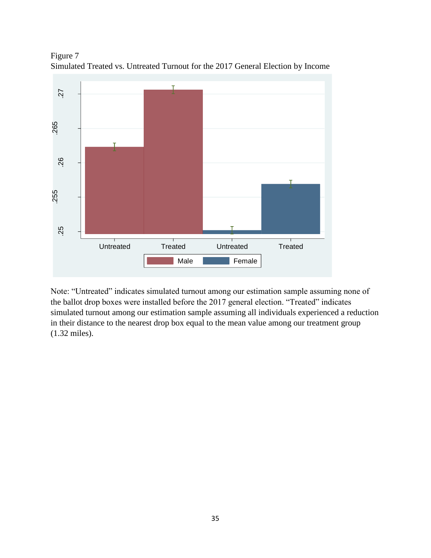

Figure 7 Simulated Treated vs. Untreated Turnout for the 2017 General Election by Income

Note: "Untreated" indicates simulated turnout among our estimation sample assuming none of the ballot drop boxes were installed before the 2017 general election. "Treated" indicates simulated turnout among our estimation sample assuming all individuals experienced a reduction in their distance to the nearest drop box equal to the mean value among our treatment group (1.32 miles).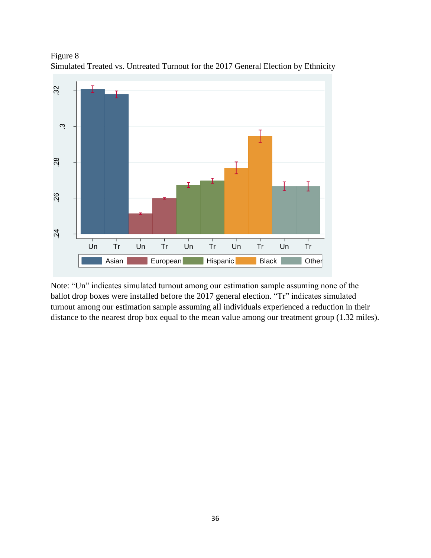

Figure 8 Simulated Treated vs. Untreated Turnout for the 2017 General Election by Ethnicity

Note: "Un" indicates simulated turnout among our estimation sample assuming none of the ballot drop boxes were installed before the 2017 general election. "Tr" indicates simulated turnout among our estimation sample assuming all individuals experienced a reduction in their distance to the nearest drop box equal to the mean value among our treatment group (1.32 miles).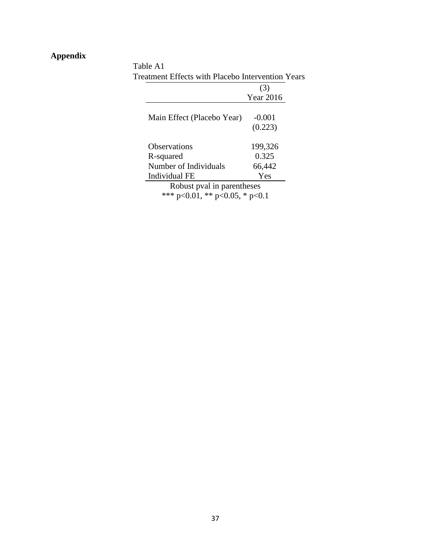# **Appendix**

| Table A1                                                 |  |
|----------------------------------------------------------|--|
| <b>Treatment Effects with Placebo Intervention Years</b> |  |

|                                | <b>Year 2016</b> |  |  |
|--------------------------------|------------------|--|--|
|                                |                  |  |  |
| Main Effect (Placebo Year)     | $-0.001$         |  |  |
|                                | (0.223)          |  |  |
|                                |                  |  |  |
| <b>Observations</b>            | 199,326          |  |  |
| R-squared                      | 0.325            |  |  |
| Number of Individuals          | 66,442           |  |  |
| Individual FE                  | Yes              |  |  |
| Robust pval in parentheses     |                  |  |  |
| *** p<0.01, ** p<0.05, * p<0.1 |                  |  |  |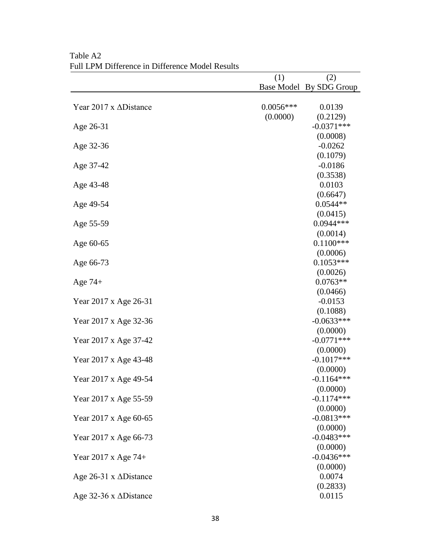|                                    | (1)         | (2)                      |
|------------------------------------|-------------|--------------------------|
|                                    |             | Base Model By SDG Group  |
|                                    |             |                          |
| Year 2017 x ΔDistance              | $0.0056***$ | 0.0139                   |
|                                    | (0.0000)    | (0.2129)                 |
| Age 26-31                          |             | $-0.0371***$             |
| Age 32-36                          |             | (0.0008)<br>$-0.0262$    |
|                                    |             | (0.1079)                 |
| Age 37-42                          |             | $-0.0186$                |
|                                    |             | (0.3538)                 |
| Age 43-48                          |             | 0.0103                   |
|                                    |             | (0.6647)                 |
| Age 49-54                          |             | $0.0544**$               |
|                                    |             | (0.0415)                 |
| Age 55-59                          |             | $0.0944***$              |
|                                    |             | (0.0014)                 |
| Age 60-65                          |             | $0.1100***$              |
|                                    |             | (0.0006)                 |
| Age 66-73                          |             | $0.1053***$              |
|                                    |             | (0.0026)<br>$0.0763**$   |
| Age $74+$                          |             | (0.0466)                 |
| Year 2017 x Age 26-31              |             | $-0.0153$                |
|                                    |             | (0.1088)                 |
| Year 2017 x Age 32-36              |             | $-0.0633***$             |
|                                    |             | (0.0000)                 |
| Year 2017 x Age 37-42              |             | $-0.0771***$             |
|                                    |             | (0.0000)                 |
| Year 2017 x Age 43-48              |             | $-0.1017***$             |
|                                    |             | (0.0000)                 |
| Year 2017 x Age 49-54              |             | $-0.1164***$             |
|                                    |             | (0.0000)                 |
| Year 2017 x Age 55-59              |             | $-0.1174***$             |
|                                    |             | (0.0000)                 |
| Year 2017 x Age 60-65              |             | $-0.0813***$             |
| Year 2017 x Age 66-73              |             | (0.0000)<br>$-0.0483***$ |
|                                    |             | (0.0000)                 |
| Year 2017 x Age 74+                |             | $-0.0436***$             |
|                                    |             | (0.0000)                 |
| Age $26-31 \times \Delta$ Distance |             | 0.0074                   |
|                                    |             | (0.2833)                 |
| Age 32-36 x ∆Distance              |             | 0.0115                   |

Table A2 Full LPM Difference in Difference Model Results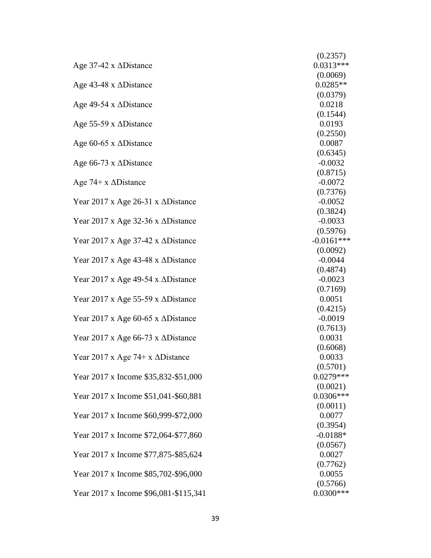|                                              | (0.2357)                |
|----------------------------------------------|-------------------------|
| Age $37-42 \times \Delta$ Distance           | $0.0313***$             |
|                                              | (0.0069)                |
| Age $43-48 \times \Delta$ Distance           | $0.0285**$              |
|                                              | (0.0379)                |
| Age 49-54 x $\triangle$ Distance             | 0.0218                  |
|                                              | (0.1544)                |
| Age 55-59 x $\triangle$ Distance             | 0.0193                  |
|                                              | (0.2550)                |
| Age 60-65 x $\triangle$ Distance             | 0.0087<br>(0.6345)      |
| Age 66-73 x $\triangle$ Distance             | $-0.0032$               |
|                                              | (0.8715)                |
| Age $74+x$ $\triangle$ Distance              | $-0.0072$               |
|                                              | (0.7376)                |
| Year 2017 x Age 26-31 x $\triangle$ Distance | $-0.0052$               |
|                                              | (0.3824)                |
| Year 2017 x Age 32-36 x $\triangle$ Distance | $-0.0033$               |
|                                              | (0.5976)                |
| Year 2017 x Age 37-42 x $\triangle$ Distance | $-0.0161***$            |
|                                              | (0.0092)                |
| Year 2017 x Age 43-48 x $\triangle$ Distance | $-0.0044$               |
|                                              | (0.4874)                |
| Year 2017 x Age 49-54 x $\triangle$ Distance | $-0.0023$               |
|                                              | (0.7169)                |
| Year 2017 x Age 55-59 x $\triangle$ Distance | 0.0051                  |
|                                              | (0.4215)                |
| Year 2017 x Age 60-65 x $\triangle$ Distance | $-0.0019$               |
| Year 2017 x Age 66-73 x $\triangle$ Distance | (0.7613)<br>0.0031      |
|                                              | (0.6068)                |
| Year 2017 x Age 74+ x $\triangle$ Distance   | 0.0033                  |
|                                              | (0.5701)                |
| Year 2017 x Income \$35,832-\$51,000         | $0.0279***$             |
|                                              | (0.0021)                |
| Year 2017 x Income \$51,041-\$60,881         | $0.0306***$             |
|                                              | (0.0011)                |
| Year 2017 x Income \$60,999-\$72,000         | 0.0077                  |
|                                              | (0.3954)                |
| Year 2017 x Income \$72,064-\$77,860         | $-0.0188*$              |
|                                              | (0.0567)                |
| Year 2017 x Income \$77,875-\$85,624         | 0.0027                  |
|                                              | (0.7762)                |
| Year 2017 x Income \$85,702-\$96,000         | 0.0055                  |
|                                              | (0.5766)<br>$0.0300***$ |
| Year 2017 x Income \$96,081-\$115,341        |                         |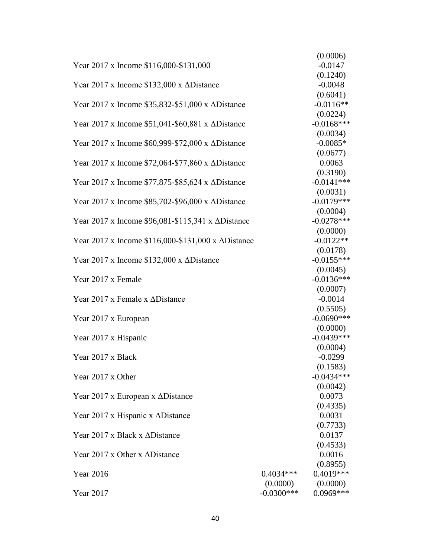|                                                                    |              | (0.0006)                 |
|--------------------------------------------------------------------|--------------|--------------------------|
| Year 2017 x Income \$116,000-\$131,000                             |              | $-0.0147$                |
|                                                                    |              | (0.1240)                 |
| Year 2017 x Income \$132,000 x ΔDistance                           |              | $-0.0048$                |
|                                                                    |              | (0.6041)                 |
| Year 2017 x Income $$35,832-\$51,000 \times \Delta\text{Distance}$ |              | $-0.0116**$              |
|                                                                    |              | (0.0224)                 |
| Year 2017 x Income $$51,041-$60,881$ x $\Delta$ Distance           |              | $-0.0168***$             |
|                                                                    |              | (0.0034)                 |
| Year 2017 x Income \$60,999-\$72,000 x ∆Distance                   |              | $-0.0085*$               |
|                                                                    |              | (0.0677)                 |
| Year 2017 x Income $$72,064-S77,860$ x $\triangle$ Distance        |              | 0.0063                   |
|                                                                    |              | (0.3190)                 |
| Year 2017 x Income $$77,875-\$85,624$ x $\triangle$ Distance       |              | $-0.0141***$<br>(0.0031) |
| Year 2017 x Income $$85,702-\$96,000 \times \Delta\text{Distance}$ |              | $-0.0179***$             |
|                                                                    |              | (0.0004)                 |
| Year 2017 x Income $$96,081-S115,341$ x $\Delta$ Distance          |              | $-0.0278***$             |
|                                                                    |              | (0.0000)                 |
| Year 2017 x Income $$116,000-S131,000$ x $\Delta$ Distance         |              | $-0.0122**$              |
|                                                                    |              | (0.0178)                 |
| Year 2017 x Income $$132,000$ x $\triangle$ Distance               |              | $-0.0155***$             |
|                                                                    |              | (0.0045)                 |
| Year 2017 x Female                                                 |              | $-0.0136***$             |
|                                                                    |              | (0.0007)                 |
| Year 2017 x Female x ΔDistance                                     |              | $-0.0014$                |
|                                                                    |              | (0.5505)                 |
| Year 2017 x European                                               |              | $-0.0690***$             |
|                                                                    |              | (0.0000)                 |
| Year 2017 x Hispanic                                               |              | $-0.0439***$             |
|                                                                    |              | (0.0004)                 |
| Year 2017 x Black                                                  |              | $-0.0299$                |
| Year 2017 x Other                                                  |              | (0.1583)<br>$-0.0434***$ |
|                                                                    |              | (0.0042)                 |
| Year 2017 x European x ∆Distance                                   |              | 0.0073                   |
|                                                                    |              | (0.4335)                 |
| Year 2017 x Hispanic x ΔDistance                                   |              | 0.0031                   |
|                                                                    |              | (0.7733)                 |
| Year 2017 x Black x $\triangle$ Distance                           |              | 0.0137                   |
|                                                                    |              | (0.4533)                 |
| Year 2017 x Other x $\triangle$ Distance                           |              | 0.0016                   |
|                                                                    |              | (0.8955)                 |
| <b>Year 2016</b>                                                   | $0.4034***$  | $0.4019***$              |
|                                                                    | (0.0000)     | (0.0000)                 |
| Year 2017                                                          | $-0.0300***$ | $0.0969***$              |